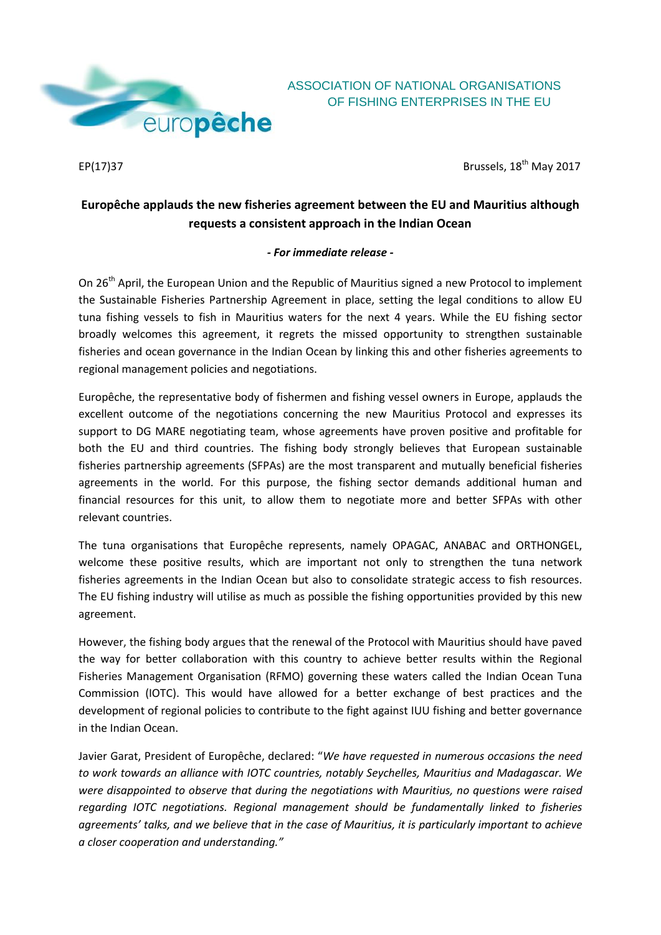

## ASSOCIATION OF NATIONAL ORGANISATIONS OF FISHING ENTERPRISES IN THE EU

 $EP(17)$ 37 Brussels,  $18<sup>th</sup>$  May 2017

## **Europêche applauds the new fisheries agreement between the EU and Mauritius although requests a consistent approach in the Indian Ocean**

## *- For immediate release -*

On 26<sup>th</sup> April, the European Union and the Republic of Mauritius signed a new Protocol to implement the Sustainable Fisheries Partnership Agreement in place, setting the legal conditions to allow EU tuna fishing vessels to fish in Mauritius waters for the next 4 years. While the EU fishing sector broadly welcomes this agreement, it regrets the missed opportunity to strengthen sustainable fisheries and ocean governance in the Indian Ocean by linking this and other fisheries agreements to regional management policies and negotiations.

Europêche, the representative body of fishermen and fishing vessel owners in Europe, applauds the excellent outcome of the negotiations concerning the new Mauritius Protocol and expresses its support to DG MARE negotiating team, whose agreements have proven positive and profitable for both the EU and third countries. The fishing body strongly believes that European sustainable fisheries partnership agreements (SFPAs) are the most transparent and mutually beneficial fisheries agreements in the world. For this purpose, the fishing sector demands additional human and financial resources for this unit, to allow them to negotiate more and better SFPAs with other relevant countries.

The tuna organisations that Europêche represents, namely OPAGAC, ANABAC and ORTHONGEL, welcome these positive results, which are important not only to strengthen the tuna network fisheries agreements in the Indian Ocean but also to consolidate strategic access to fish resources. The EU fishing industry will utilise as much as possible the fishing opportunities provided by this new agreement.

However, the fishing body argues that the renewal of the Protocol with Mauritius should have paved the way for better collaboration with this country to achieve better results within the Regional Fisheries Management Organisation (RFMO) governing these waters called the Indian Ocean Tuna Commission (IOTC). This would have allowed for a better exchange of best practices and the development of regional policies to contribute to the fight against IUU fishing and better governance in the Indian Ocean.

Javier Garat, President of Europêche, declared: "*We have requested in numerous occasions the need to work towards an alliance with IOTC countries, notably Seychelles, Mauritius and Madagascar. We were disappointed to observe that during the negotiations with Mauritius, no questions were raised regarding IOTC negotiations. Regional management should be fundamentally linked to fisheries agreements' talks, and we believe that in the case of Mauritius, it is particularly important to achieve a closer cooperation and understanding."*